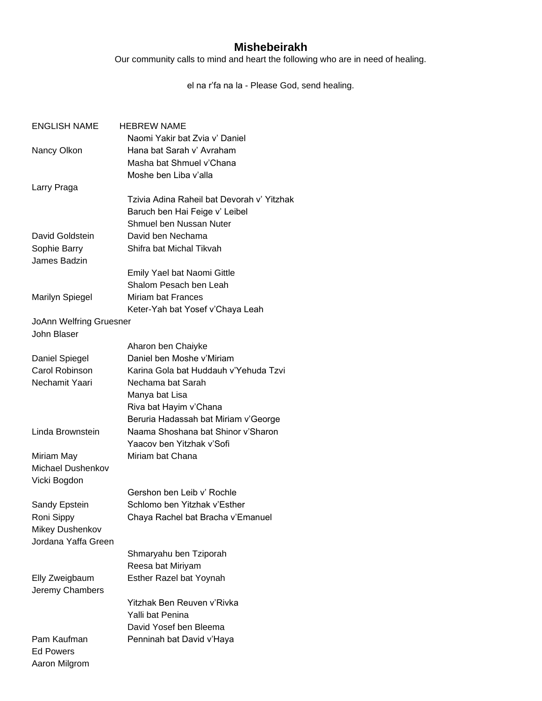## **Mishebeirakh**

Our community calls to mind and heart the following who are in need of healing.

el na r'fa na la - Please God, send healing.

| <b>ENGLISH NAME</b>            | <b>HEBREW NAME</b>                          |
|--------------------------------|---------------------------------------------|
|                                | Naomi Yakir bat Zvia v' Daniel              |
| Nancy Olkon                    | Hana bat Sarah v' Avraham                   |
|                                | Masha bat Shmuel v'Chana                    |
|                                | Moshe ben Liba v'alla                       |
| Larry Praga                    |                                             |
|                                | Tzivia Adina Raheil bat Devorah v' Yitzhak  |
|                                | Baruch ben Hai Feige v' Leibel              |
|                                | Shmuel ben Nussan Nuter                     |
| David Goldstein                | David ben Nechama                           |
| Sophie Barry                   | Shifra bat Michal Tikvah                    |
| James Badzin                   |                                             |
|                                | Emily Yael bat Naomi Gittle                 |
|                                | Shalom Pesach ben Leah                      |
| <b>Marilyn Spiegel</b>         | Miriam bat Frances                          |
|                                | Keter-Yah bat Yosef v'Chaya Leah            |
| <b>JoAnn Welfring Gruesner</b> |                                             |
| John Blaser                    |                                             |
|                                | Aharon ben Chaiyke                          |
| Daniel Spiegel                 | Daniel ben Moshe v'Miriam                   |
| Carol Robinson                 | Karina Gola bat Huddauh v'Yehuda Tzvi       |
| Nechamit Yaari                 | Nechama bat Sarah                           |
|                                | Manya bat Lisa                              |
|                                | Riva bat Hayim v'Chana                      |
|                                | Beruria Hadassah bat Miriam v'George        |
| Linda Brownstein               | Naama Shoshana bat Shinor v'Sharon          |
|                                | Yaacov ben Yitzhak v'Sofi                   |
| Miriam May                     | Miriam bat Chana                            |
| Michael Dushenkov              |                                             |
| Vicki Bogdon                   |                                             |
|                                | Gershon ben Leib v' Rochle                  |
| Sandy Epstein                  | Schlomo ben Yitzhak v'Esther                |
| Roni Sippy                     | Chaya Rachel bat Bracha v'Emanuel           |
| Mikey Dushenkov                |                                             |
| Jordana Yaffa Green            |                                             |
|                                |                                             |
|                                | Shmaryahu ben Tziporah<br>Reesa bat Miriyam |
|                                | Esther Razel bat Yoynah                     |
| Elly Zweigbaum                 |                                             |
| Jeremy Chambers                | Yitzhak Ben Reuven v'Rivka                  |
|                                |                                             |
|                                | Yalli bat Penina<br>David Yosef ben Bleema  |
| Pam Kaufman                    |                                             |
|                                | Penninah bat David v'Haya                   |
| Ed Powers                      |                                             |
| Aaron Milgrom                  |                                             |